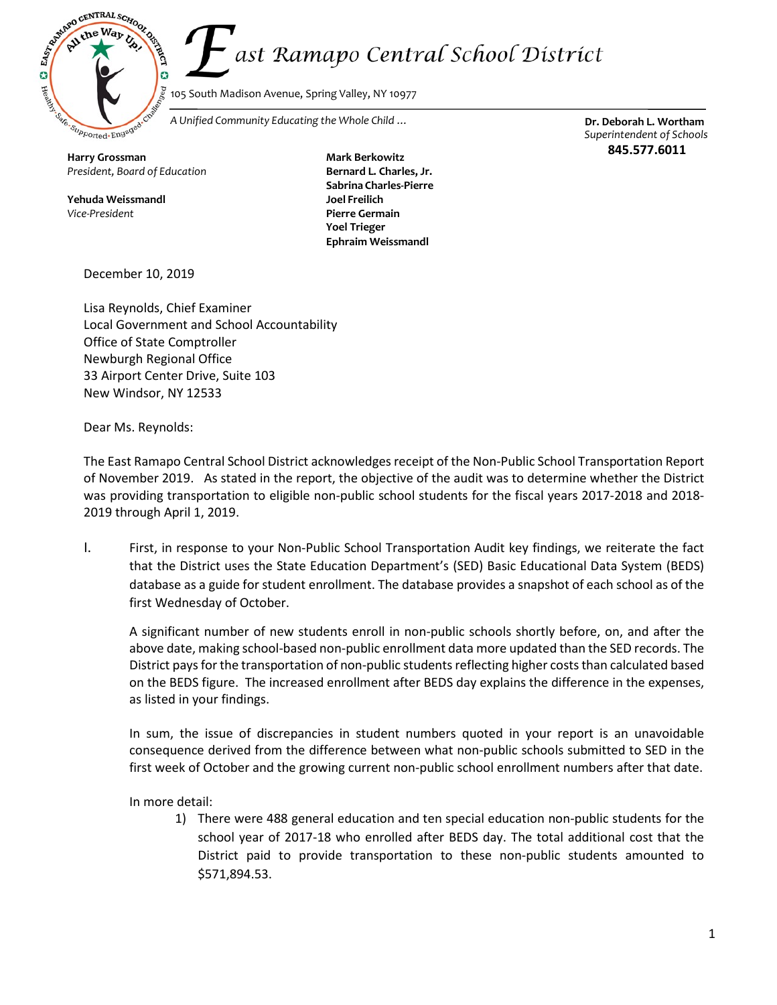ast Ramapo Central School District



105 South Madison Avenue, Spring Valley, NY 10977

*A Unified Community Educating the Whole Child …* **Dr. Deborah L. Wortham**

**Harry Grossman** *President, Board of Education*

**Yehuda Weissmandl** *Vice-President*

**Mark Berkowitz Bernard L. Charles, Jr. Sabrina Charles-Pierre Joel Freilich Pierre Germain Yoel Trieger Ephraim Weissmandl**

*Superintendent of Schools* **845.577.6011**

December 10, 2019

Lisa Reynolds, Chief Examiner Local Government and School Accountability Office of State Comptroller Newburgh Regional Office 33 Airport Center Drive, Suite 103 New Windsor, NY 12533

Dear Ms. Reynolds:

The East Ramapo Central School District acknowledges receipt of the Non-Public School Transportation Report of November 2019. As stated in the report, the objective of the audit was to determine whether the District was providing transportation to eligible non-public school students for the fiscal years 2017-2018 and 2018- 2019 through April 1, 2019.

I. First, in response to your Non-Public School Transportation Audit key findings, we reiterate the fact that the District uses the State Education Department's (SED) Basic Educational Data System (BEDS) database as a guide for student enrollment. The database provides a snapshot of each school as of the first Wednesday of October.

A significant number of new students enroll in non-public schools shortly before, on, and after the above date, making school-based non-public enrollment data more updated than the SED records. The District pays for the transportation of non-public students reflecting higher costs than calculated based on the BEDS figure. The increased enrollment after BEDS day explains the difference in the expenses, as listed in your findings.

In sum, the issue of discrepancies in student numbers quoted in your report is an unavoidable consequence derived from the difference between what non-public schools submitted to SED in the first week of October and the growing current non-public school enrollment numbers after that date.

In more detail:

1) There were 488 general education and ten special education non-public students for the school year of 2017-18 who enrolled after BEDS day. The total additional cost that the District paid to provide transportation to these non-public students amounted to \$571,894.53.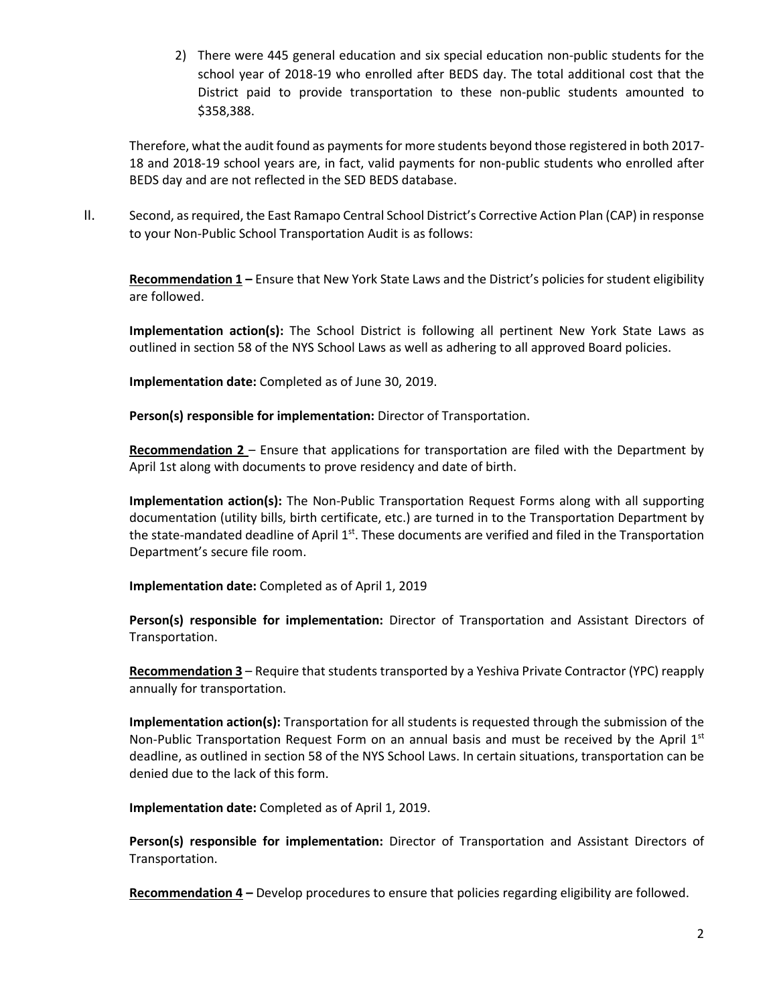2) There were 445 general education and six special education non-public students for the school year of 2018-19 who enrolled after BEDS day. The total additional cost that the District paid to provide transportation to these non-public students amounted to \$358,388.

Therefore, what the audit found as payments for more students beyond those registered in both 2017-18 and 2018-19 school years are, in fact, valid payments for non-public students who enrolled after BEDS day and are not reflected in the SED BEDS database.

II. Second, as required, the East Ramapo Central School District's Corrective Action Plan (CAP) in response to your Non-Public School Transportation Audit is as follows:

**Recommendation 1 –** Ensure that New York State Laws and the District's policies for student eligibility are followed.

**Implementation action(s):** The School District is following all pertinent New York State Laws as outlined in section 58 of the NYS School Laws as well as adhering to all approved Board policies.

**Implementation date:** Completed as of June 30, 2019.

**Person(s) responsible for implementation:** Director of Transportation.

**Recommendation 2** – Ensure that applications for transportation are filed with the Department by April 1st along with documents to prove residency and date of birth.

**Implementation action(s):** The Non-Public Transportation Request Forms along with all supporting documentation (utility bills, birth certificate, etc.) are turned in to the Transportation Department by the state-mandated deadline of April  $1<sup>st</sup>$ . These documents are verified and filed in the Transportation Department's secure file room.

**Implementation date:** Completed as of April 1, 2019

**Person(s) responsible for implementation:** Director of Transportation and Assistant Directors of Transportation.

**Recommendation 3** – Require that students transported by a Yeshiva Private Contractor (YPC) reapply annually for transportation.

**Implementation action(s):** Transportation for all students is requested through the submission of the Non-Public Transportation Request Form on an annual basis and must be received by the April  $1<sup>st</sup>$ deadline, as outlined in section 58 of the NYS School Laws. In certain situations, transportation can be denied due to the lack of this form.

**Implementation date:** Completed as of April 1, 2019.

**Person(s) responsible for implementation:** Director of Transportation and Assistant Directors of Transportation.

**Recommendation 4 –** Develop procedures to ensure that policies regarding eligibility are followed.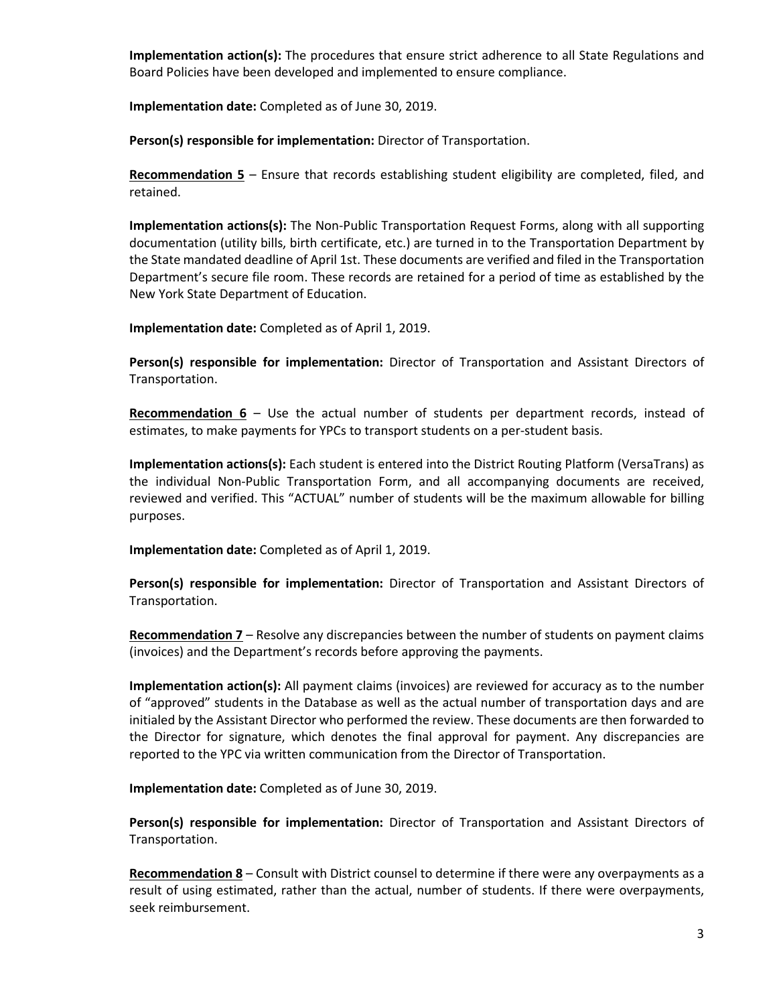**Implementation action(s):** The procedures that ensure strict adherence to all State Regulations and Board Policies have been developed and implemented to ensure compliance.

**Implementation date:** Completed as of June 30, 2019.

**Person(s) responsible for implementation:** Director of Transportation.

**Recommendation 5** – Ensure that records establishing student eligibility are completed, filed, and retained.

**Implementation actions(s):** The Non-Public Transportation Request Forms, along with all supporting documentation (utility bills, birth certificate, etc.) are turned in to the Transportation Department by the State mandated deadline of April 1st. These documents are verified and filed in the Transportation Department's secure file room. These records are retained for a period of time as established by the New York State Department of Education.

**Implementation date:** Completed as of April 1, 2019.

**Person(s) responsible for implementation:** Director of Transportation and Assistant Directors of Transportation.

**Recommendation 6** – Use the actual number of students per department records, instead of estimates, to make payments for YPCs to transport students on a per-student basis.

**Implementation actions(s):** Each student is entered into the District Routing Platform (VersaTrans) as the individual Non-Public Transportation Form, and all accompanying documents are received, reviewed and verified. This "ACTUAL" number of students will be the maximum allowable for billing purposes.

**Implementation date:** Completed as of April 1, 2019.

**Person(s) responsible for implementation:** Director of Transportation and Assistant Directors of Transportation.

**Recommendation 7** – Resolve any discrepancies between the number of students on payment claims (invoices) and the Department's records before approving the payments.

**Implementation action(s):** All payment claims (invoices) are reviewed for accuracy as to the number of "approved" students in the Database as well as the actual number of transportation days and are initialed by the Assistant Director who performed the review. These documents are then forwarded to the Director for signature, which denotes the final approval for payment. Any discrepancies are reported to the YPC via written communication from the Director of Transportation.

**Implementation date:** Completed as of June 30, 2019.

**Person(s) responsible for implementation:** Director of Transportation and Assistant Directors of Transportation.

**Recommendation 8** – Consult with District counsel to determine if there were any overpayments as a result of using estimated, rather than the actual, number of students. If there were overpayments, seek reimbursement.